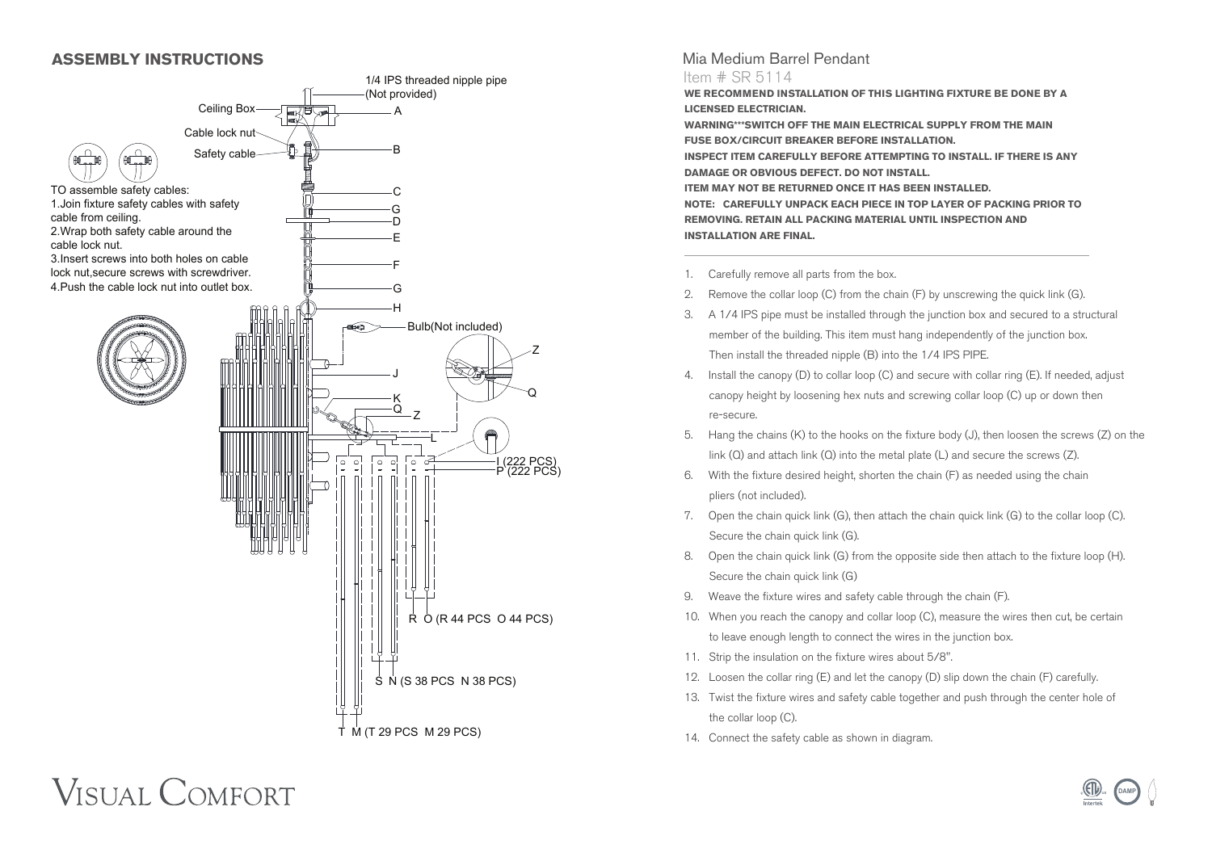## **ASSEMBLY INSTRUCTIONS**



# Mia Medium Barrel Pendant

#### Item # SR 5114

**WE RECOMMEND INSTALLATION OF THIS LIGHTING FIXTURE BE DONE BY A LICENSED ELECTRICIAN.**

**WARNING\*\*\*SWITCH OFF THE MAIN ELECTRICAL SUPPLY FROM THE MAIN FUSE BOX/CIRCUIT BREAKER BEFORE INSTALLATION. INSPECT ITEM CAREFULLY BEFORE ATTEMPTING TO INSTALL. IF THERE IS ANY DAMAGE OR OBVIOUS DEFECT. DO NOT INSTALL. ITEM MAY NOT BE RETURNED ONCE IT HAS BEEN INSTALLED. NOTE: CAREFULLY UNPACK EACH PIECE IN TOP LAYER OF PACKING PRIOR TO REMOVING. RETAIN ALL PACKING MATERIAL UNTIL INSPECTION AND INSTALLATION ARE FINAL.**

- 1. Carefully remove all parts from the box.
- 2. Remove the collar loop (C) from the chain (F) by unscrewing the quick link (G).
- 3. A 1/4 IPS pipe must be installed through the junction box and secured to a structural member of the building. This item must hang independently of the junction box. Then install the threaded nipple (B) into the 1/4 IPS PIPE.
- 4. Install the canopy (D) to collar loop (C) and secure with collar ring (E). If needed, adjust canopy height by loosening hex nuts and screwing collar loop (C) up or down then re-secure.
- 5. Hang the chains (K) to the hooks on the fixture body (J), then loosen the screws (Z) on the link (Q) and attach link (Q) into the metal plate (L) and secure the screws (Z).
- 6. With the fixture desired height, shorten the chain (F) as needed using the chain pliers (not included).
- 7. Open the chain quick link (G), then attach the chain quick link (G) to the collar loop (C). Secure the chain quick link (G).
- 8. Open the chain quick link (G) from the opposite side then attach to the fixture loop (H). Secure the chain quick link (G)
- 9. Weave the fixture wires and safety cable through the chain (F).
- 10. When you reach the canopy and collar loop (C), measure the wires then cut, be certain to leave enough length to connect the wires in the junction box.
- 11. Strip the insulation on the fixture wires about 5/8".
- 12. Loosen the collar ring (E) and let the canopy (D) slip down the chain (F) carefully.
- 13. Twist the fixture wires and safety cable together and push through the center hole of the collar loop (C).
- 14. Connect the safety cable as shown in diagram.

# **VISUAL COMFORT**

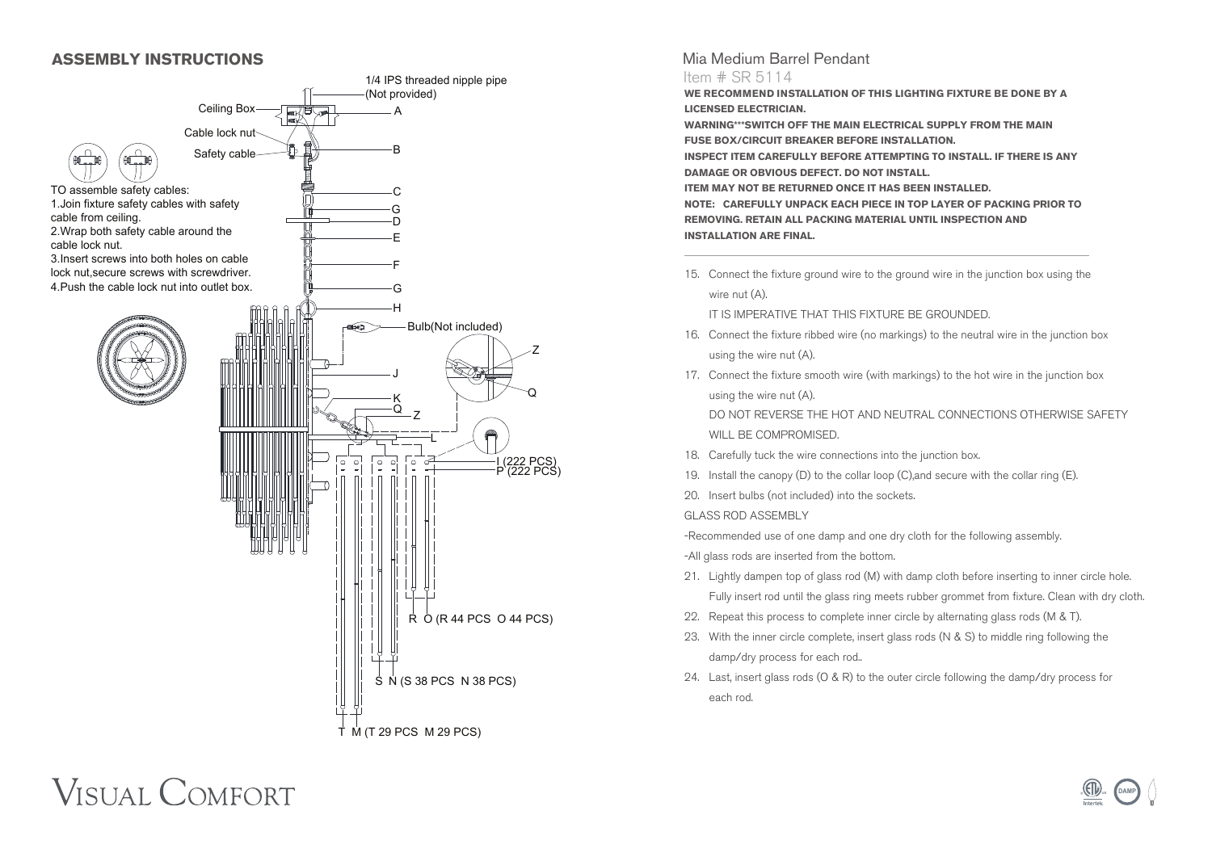### **ASSEMBLY INSTRUCTIONS**



## Mia Medium Barrel Pendant

#### Item # SR 5114

**WE RECOMMEND INSTALLATION OF THIS LIGHTING FIXTURE BE DONE BY A LICENSED ELECTRICIAN.**

**WARNING\*\*\*SWITCH OFF THE MAIN ELECTRICAL SUPPLY FROM THE MAIN FUSE BOX/CIRCUIT BREAKER BEFORE INSTALLATION. INSPECT ITEM CAREFULLY BEFORE ATTEMPTING TO INSTALL. IF THERE IS ANY DAMAGE OR OBVIOUS DEFECT. DO NOT INSTALL. ITEM MAY NOT BE RETURNED ONCE IT HAS BEEN INSTALLED. NOTE: CAREFULLY UNPACK EACH PIECE IN TOP LAYER OF PACKING PRIOR TO REMOVING. RETAIN ALL PACKING MATERIAL UNTIL INSPECTION AND INSTALLATION ARE FINAL.**

15. Connect the fixture ground wire to the ground wire in the junction box using the wire nut (A).

IT IS IMPERATIVE THAT THIS FIXTURE BE GROUNDED.

- 16. Connect the fixture ribbed wire (no markings) to the neutral wire in the junction box using the wire nut (A).
- 17. Connect the fixture smooth wire (with markings) to the hot wire in the junction box using the wire nut (A).

 DO NOT REVERSE THE HOT AND NEUTRAL CONNECTIONS OTHERWISE SAFETY WILL BE COMPROMISED.

- 18. Carefully tuck the wire connections into the junction box.
- 19. Install the canopy (D) to the collar loop (C),and secure with the collar ring (E).
- 20. Insert bulbs (not included) into the sockets.

GLASS ROD ASSEMBLY

-Recommended use of one damp and one dry cloth for the following assembly.

- -All glass rods are inserted from the bottom.
- 21. Lightly dampen top of glass rod (M) with damp cloth before inserting to inner circle hole. Fully insert rod until the glass ring meets rubber grommet from fixture. Clean with dry cloth.
- 22. Repeat this process to complete inner circle by alternating glass rods (M & T).
- 23. With the inner circle complete, insert glass rods (N & S) to middle ring following the damp/dry process for each rod..
- 24. Last, insert glass rods (O & R) to the outer circle following the damp/dry process for each rod.

# **VISUAL COMFORT**